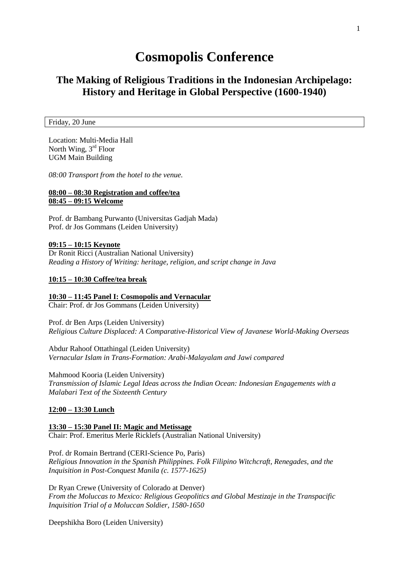# **Cosmopolis Conference**

# **The Making of Religious Traditions in the Indonesian Archipelago: History and Heritage in Global Perspective (1600-1940)**

Friday, 20 June

Location: Multi-Media Hall North Wing, 3<sup>rd</sup> Floor UGM Main Building

*08:00 Transport from the hotel to the venue.* 

# **08:00 – 08:30 Registration and coffee/tea 08:45 – 09:15 Welcome**

Prof. dr Bambang Purwanto (Universitas Gadjah Mada) Prof. dr Jos Gommans (Leiden University)

# **09:15 – 10:15 Keynote**

Dr Ronit Ricci (Australian National University) *Reading a History of Writing: heritage, religion, and script change in Java*

# **10:15 – 10:30 Coffee/tea break**

# **10:30 – 11:45 Panel I: Cosmopolis and Vernacular**

Chair: Prof. dr Jos Gommans (Leiden University)

Prof. dr Ben Arps (Leiden University) *Religious Culture Displaced: A Comparative-Historical View of Javanese World-Making Overseas*

Abdur Rahoof Ottathingal (Leiden University) *Vernacular Islam in Trans-Formation: Arabi-Malayalam and Jawi compared*

Mahmood Kooria (Leiden University) *Transmission of Islamic Legal Ideas across the Indian Ocean: Indonesian Engagements with a Malabari Text of the Sixteenth Century*

# **12:00 – 13:30 Lunch**

**13:30 – 15:30 Panel II: Magic and Metissage** Chair: Prof. Emeritus Merle Ricklefs (Australian National University)

Prof. dr Romain Bertrand (CERI-Science Po, Paris) *Religious Innovation in the Spanish Philippines. Folk Filipino Witchcraft, Renegades, and the Inquisition in Post-Conquest Manila (c. 1577-1625)*

Dr Ryan Crewe (University of Colorado at Denver) *From the Moluccas to Mexico: Religious Geopolitics and Global Mestizaje in the Transpacific Inquisition Trial of a Moluccan Soldier, 1580-1650*

Deepshikha Boro (Leiden University)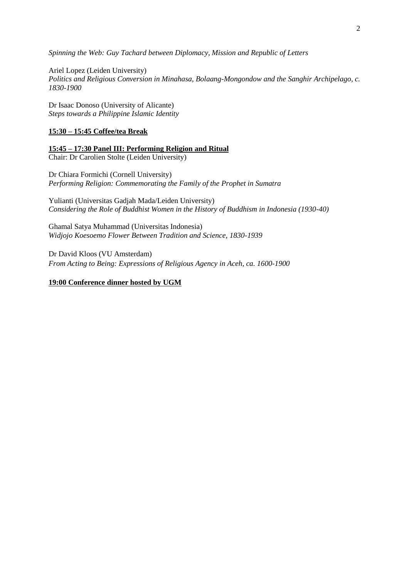*Spinning the Web: Guy Tachard between Diplomacy, Mission and Republic of Letters*

Ariel Lopez (Leiden University) *Politics and Religious Conversion in Minahasa, Bolaang-Mongondow and the Sanghir Archipelago, c. 1830-1900*

Dr Isaac Donoso (University of Alicante) *Steps towards a Philippine Islamic Identity*

# **15:30 – 15:45 Coffee/tea Break**

**15:45 – 17:30 Panel III: Performing Religion and Ritual** Chair: Dr Carolien Stolte (Leiden University)

Dr Chiara Formichi (Cornell University) *Performing Religion: Commemorating the Family of the Prophet in Sumatra*

Yulianti (Universitas Gadjah Mada/Leiden University) *Considering the Role of Buddhist Women in the History of Buddhism in Indonesia (1930-40)*

Ghamal Satya Muhammad (Universitas Indonesia) *Widjojo Koesoemo Flower Between Tradition and Science, 1830-1939*

Dr David Kloos (VU Amsterdam) *From Acting to Being: Expressions of Religious Agency in Aceh, ca. 1600-1900*

# **19:00 Conference dinner hosted by UGM**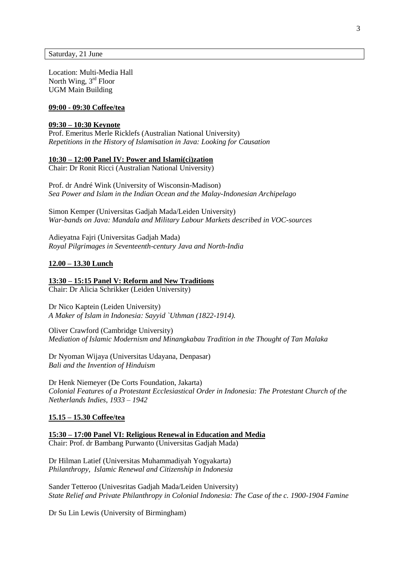Saturday, 21 June

Location: Multi-Media Hall North Wing, 3<sup>rd</sup> Floor UGM Main Building

#### **09:00 - 09:30 Coffee/tea**

# **09:30 – 10:30 Keynote**

Prof. Emeritus Merle Ricklefs (Australian National University) *Repetitions in the History of Islamisation in Java: Looking for Causation*

#### **10:30 – 12:00 Panel IV: Power and Islami(ci)zation**

Chair: Dr Ronit Ricci (Australian National University)

Prof. dr André Wink (University of Wisconsin-Madison) *Sea Power and Islam in the Indian Ocean and the Malay-Indonesian Archipelago*

Simon Kemper (Universitas Gadjah Mada/Leiden University) *War-bands on Java: Mandala and Military Labour Markets described in VOC-sources*

Adieyatna Fajri (Universitas Gadjah Mada) *Royal Pilgrimages in Seventeenth-century Java and North-India*

#### **12.00 – 13.30 Lunch**

**13:30 – 15:15 Panel V: Reform and New Traditions**

Chair: Dr Alicia Schrikker (Leiden University)

Dr Nico Kaptein (Leiden University) *A Maker of Islam in Indonesia: Sayyid `Uthman (1822-1914).*

Oliver Crawford (Cambridge University) *Mediation of Islamic Modernism and Minangkabau Tradition in the Thought of Tan Malaka*

Dr Nyoman Wijaya (Universitas Udayana, Denpasar) *Bali and the Invention of Hinduism*

Dr Henk Niemeyer (De Corts Foundation, Jakarta) *Colonial Features of a Protestant Ecclesiastical Order in Indonesia: The Protestant Church of the Netherlands Indies, 1933 – 1942*

#### **15.15 – 15.30 Coffee/tea**

**15:30 – 17:00 Panel VI: Religious Renewal in Education and Media** Chair: Prof. dr Bambang Purwanto (Universitas Gadjah Mada)

Dr Hilman Latief (Universitas Muhammadiyah Yogyakarta) *Philanthropy, Islamic Renewal and Citizenship in Indonesia*

Sander Tetteroo (Univesritas Gadjah Mada/Leiden University) *State Relief and Private Philanthropy in Colonial Indonesia: The Case of the c. 1900-1904 Famine*

Dr Su Lin Lewis (University of Birmingham)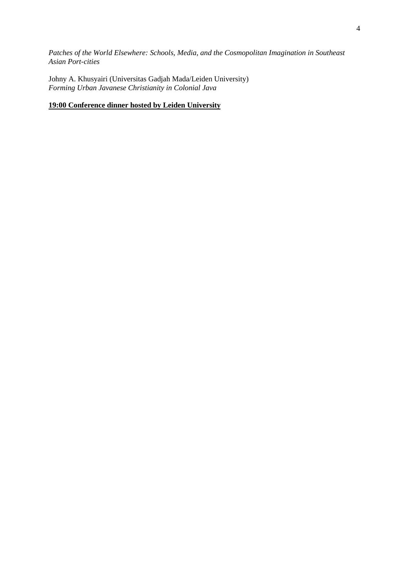*Patches of the World Elsewhere: Schools, Media, and the Cosmopolitan Imagination in Southeast Asian Port-cities*

Johny A. Khusyairi (Universitas Gadjah Mada/Leiden University) *Forming Urban Javanese Christianity in Colonial Java*

# **19:00 Conference dinner hosted by Leiden University**